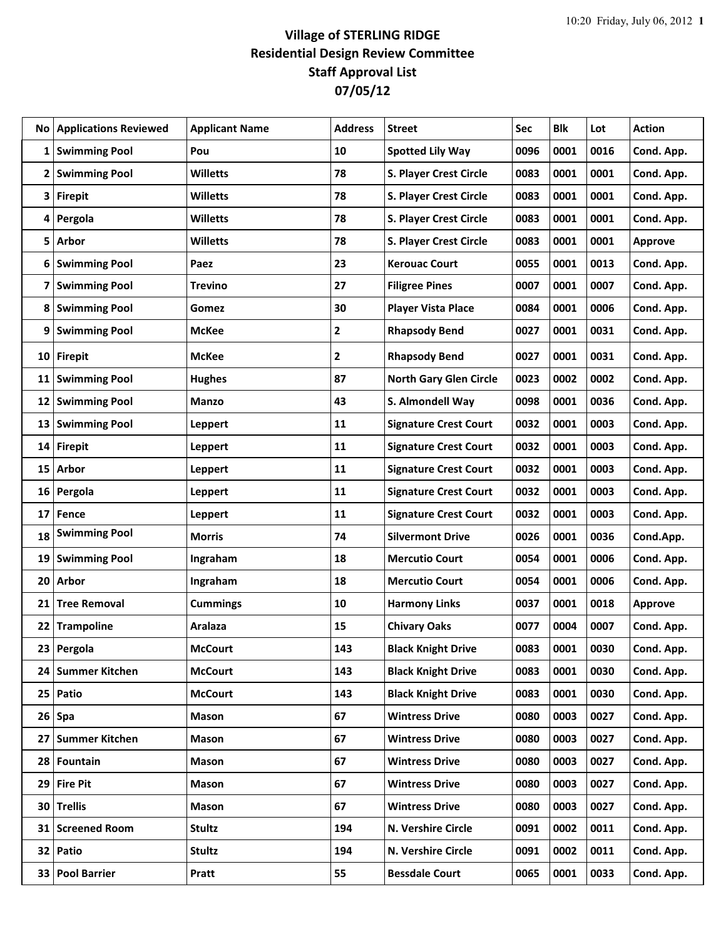## **Village of STERLING RIDGE Residential Design Review Committee Staff Approval List 07/05/12**

| No           | <b>Applications Reviewed</b> | <b>Applicant Name</b> | <b>Address</b> | <b>Street</b>                 | Sec  | <b>Blk</b> | Lot  | <b>Action</b>  |
|--------------|------------------------------|-----------------------|----------------|-------------------------------|------|------------|------|----------------|
| 1            | <b>Swimming Pool</b>         | Pou                   | 10             | <b>Spotted Lily Way</b>       | 0096 | 0001       | 0016 | Cond. App.     |
| $\mathbf{2}$ | <b>Swimming Pool</b>         | <b>Willetts</b>       | 78             | S. Player Crest Circle        | 0083 | 0001       | 0001 | Cond. App.     |
| 3            | <b>Firepit</b>               | <b>Willetts</b>       | 78             | S. Player Crest Circle        | 0083 | 0001       | 0001 | Cond. App.     |
| 4            | Pergola                      | <b>Willetts</b>       | 78             | S. Player Crest Circle        | 0083 | 0001       | 0001 | Cond. App.     |
| 5            | <b>Arbor</b>                 | <b>Willetts</b>       | 78             | S. Player Crest Circle        | 0083 | 0001       | 0001 | <b>Approve</b> |
| 6            | <b>Swimming Pool</b>         | Paez                  | 23             | <b>Kerouac Court</b>          | 0055 | 0001       | 0013 | Cond. App.     |
| 7            | <b>Swimming Pool</b>         | <b>Trevino</b>        | 27             | <b>Filigree Pines</b>         | 0007 | 0001       | 0007 | Cond. App.     |
|              | 8 Swimming Pool              | Gomez                 | 30             | <b>Player Vista Place</b>     | 0084 | 0001       | 0006 | Cond. App.     |
| 9            | <b>Swimming Pool</b>         | <b>McKee</b>          | $\overline{2}$ | <b>Rhapsody Bend</b>          | 0027 | 0001       | 0031 | Cond. App.     |
|              | 10 Firepit                   | <b>McKee</b>          | $\overline{2}$ | <b>Rhapsody Bend</b>          | 0027 | 0001       | 0031 | Cond. App.     |
| 11           | <b>Swimming Pool</b>         | <b>Hughes</b>         | 87             | <b>North Gary Glen Circle</b> | 0023 | 0002       | 0002 | Cond. App.     |
| 12           | <b>Swimming Pool</b>         | <b>Manzo</b>          | 43             | S. Almondell Way              | 0098 | 0001       | 0036 | Cond. App.     |
| 13           | <b>Swimming Pool</b>         | Leppert               | 11             | <b>Signature Crest Court</b>  | 0032 | 0001       | 0003 | Cond. App.     |
| 14           | <b>Firepit</b>               | Leppert               | 11             | <b>Signature Crest Court</b>  | 0032 | 0001       | 0003 | Cond. App.     |
|              | 15 Arbor                     | <b>Leppert</b>        | 11             | <b>Signature Crest Court</b>  | 0032 | 0001       | 0003 | Cond. App.     |
| 16           | Pergola                      | <b>Leppert</b>        | 11             | <b>Signature Crest Court</b>  | 0032 | 0001       | 0003 | Cond. App.     |
| 17           | Fence                        | <b>Leppert</b>        | 11             | <b>Signature Crest Court</b>  | 0032 | 0001       | 0003 | Cond. App.     |
| 18           | <b>Swimming Pool</b>         | <b>Morris</b>         | 74             | <b>Silvermont Drive</b>       | 0026 | 0001       | 0036 | Cond.App.      |
| 19           | <b>Swimming Pool</b>         | Ingraham              | 18             | <b>Mercutio Court</b>         | 0054 | 0001       | 0006 | Cond. App.     |
| 20           | Arbor                        | Ingraham              | 18             | <b>Mercutio Court</b>         | 0054 | 0001       | 0006 | Cond. App.     |
| 21           | <b>Tree Removal</b>          | <b>Cummings</b>       | 10             | <b>Harmony Links</b>          | 0037 | 0001       | 0018 | <b>Approve</b> |
| 22           | <b>Trampoline</b>            | <b>Aralaza</b>        | 15             | <b>Chivary Oaks</b>           | 0077 | 0004       | 0007 | Cond. App.     |
|              | 23 Pergola                   | <b>McCourt</b>        | 143            | <b>Black Knight Drive</b>     | 0083 | 0001       | 0030 | Cond. App.     |
|              | 24   Summer Kitchen          | <b>McCourt</b>        | 143            | <b>Black Knight Drive</b>     | 0083 | 0001       | 0030 | Cond. App.     |
|              | 25 Patio                     | <b>McCourt</b>        | 143            | <b>Black Knight Drive</b>     | 0083 | 0001       | 0030 | Cond. App.     |
|              | $26$ Spa                     | Mason                 | 67             | <b>Wintress Drive</b>         | 0080 | 0003       | 0027 | Cond. App.     |
| 27           | <b>Summer Kitchen</b>        | <b>Mason</b>          | 67             | <b>Wintress Drive</b>         | 0080 | 0003       | 0027 | Cond. App.     |
|              | 28 Fountain                  | <b>Mason</b>          | 67             | <b>Wintress Drive</b>         | 0080 | 0003       | 0027 | Cond. App.     |
|              | 29 Fire Pit                  | <b>Mason</b>          | 67             | <b>Wintress Drive</b>         | 0080 | 0003       | 0027 | Cond. App.     |
|              | 30 Trellis                   | Mason                 | 67             | <b>Wintress Drive</b>         | 0080 | 0003       | 0027 | Cond. App.     |
|              | 31 Screened Room             | <b>Stultz</b>         | 194            | N. Vershire Circle            | 0091 | 0002       | 0011 | Cond. App.     |
|              | 32 Patio                     | Stultz                | 194            | N. Vershire Circle            | 0091 | 0002       | 0011 | Cond. App.     |
|              | 33 Pool Barrier              | Pratt                 | 55             | <b>Bessdale Court</b>         | 0065 | 0001       | 0033 | Cond. App.     |